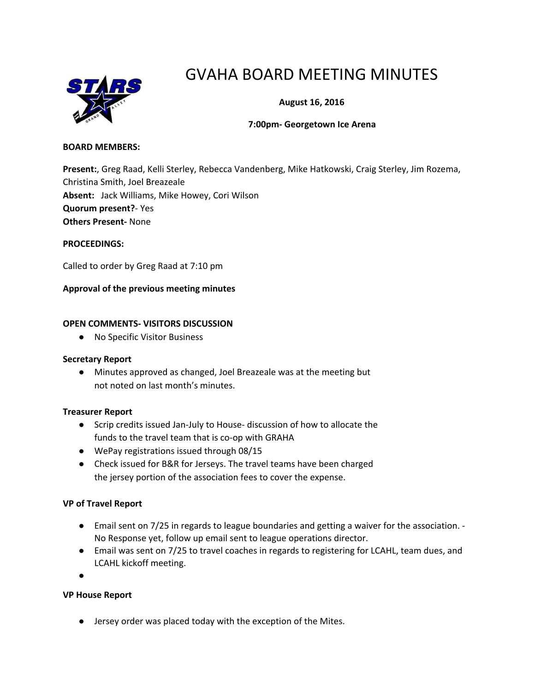

# GVAHA BOARD MEETING MINUTES

**August 16, 2016**

#### **7:00pm- Georgetown Ice Arena**

#### **BOARD MEMBERS:**

**Present:**, Greg Raad, Kelli Sterley, Rebecca Vandenberg, Mike Hatkowski, Craig Sterley, Jim Rozema, Christina Smith, Joel Breazeale **Absent:** Jack Williams, Mike Howey, Cori Wilson **Quorum present?**- Yes **Others Present-** None

#### **PROCEEDINGS:**

Called to order by Greg Raad at 7:10 pm

#### **Approval of the previous meeting minutes**

#### **OPEN COMMENTS- VISITORS DISCUSSION**

● No Specific Visitor Business

#### **Secretary Report**

**●** Minutes approved as changed, Joel Breazeale was at the meeting but not noted on last month's minutes.

#### **Treasurer Report**

- Scrip credits issued Jan-July to House- discussion of how to allocate the funds to the travel team that is co-op with GRAHA
- WePay registrations issued through 08/15
- Check issued for B&R for Jerseys. The travel teams have been charged the jersey portion of the association fees to cover the expense.

#### **VP of Travel Report**

- Email sent on 7/25 in regards to league boundaries and getting a waiver for the association. No Response yet, follow up email sent to league operations director.
- Email was sent on 7/25 to travel coaches in regards to registering for LCAHL, team dues, and LCAHL kickoff meeting.

●

#### **VP House Report**

● Jersey order was placed today with the exception of the Mites.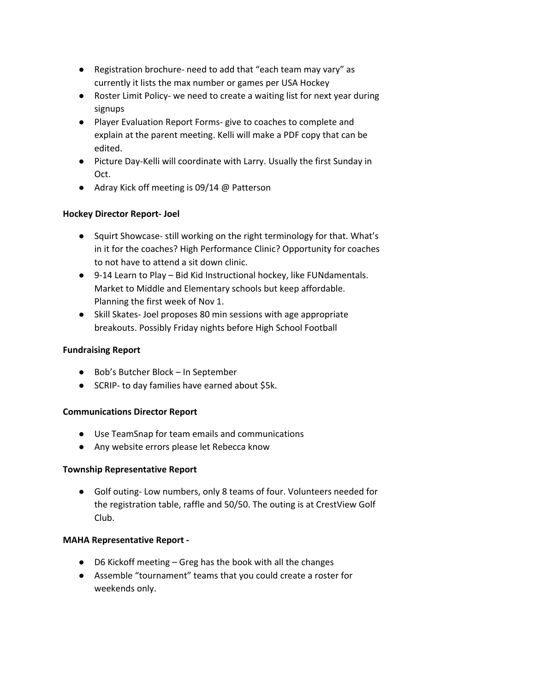- Registration brochure- need to add that "each team may vary" as currently it lists the max number or games per USA Hockey
- Roster Limit Policy- we need to create a waiting list for next year during signups
- Player Evaluation Report Forms- give to coaches to complete and explain at the parent meeting. Kelli will make a PDF copy that can be edited.
- Picture Day-Kelli will coordinate with Larry. Usually the first Sunday in Oct.
- Adray Kick off meeting is 09/14 @ Patterson

# **Hockey Director Report- Joel**

- **●** Squirt Showcase- still working on the right terminology for that. What's in it for the coaches? High Performance Clinic? Opportunity for coaches to not have to attend a sit down clinic.
- **●** 9-14 Learn to Play Bid Kid Instructional hockey, like FUNdamentals. Market to Middle and Elementary schools but keep affordable. Planning the first week of Nov 1.
- **●** Skill Skates- Joel proposes 80 min sessions with age appropriate breakouts. Possibly Friday nights before High School Football

# **Fundraising Report**

- **●** Bob's Butcher Block In September
- **●** SCRIP- to day families have earned about \$5k.

# **Communications Director Report**

- **●** Use TeamSnap for team emails and communications
- **●** Any website errors please let Rebecca know

# **Township Representative Report**

**●** Golf outing- Low numbers, only 8 teams of four. Volunteers needed for the registration table, raffle and 50/50. The outing is at CrestView Golf Club.

# **MAHA Representative Report -**

- D6 Kickoff meeting Greg has the book with all the changes
- Assemble "tournament" teams that you could create a roster for weekends only.